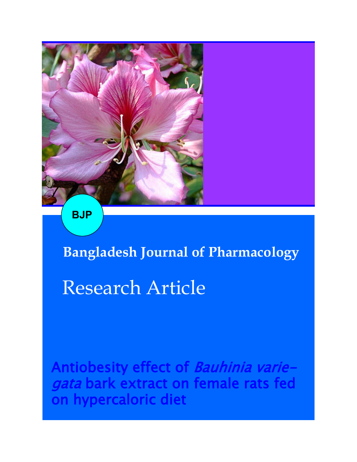

**BJP**

**Bangladesh Journal of Pharmacology** 

# Research Article

Antiobesity effect of Bauhinia variegata bark extract on female rats fed on hypercaloric diet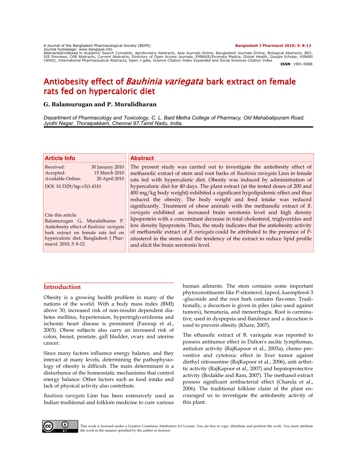A Journal of the Bangladesh Pharmacological Society (BDPS) **Bangladesh J Pharmacol 2010; 5: 8-12**

Journal homepage: www.banglajol.info Abstracted/indexed in Academic Search Complete, Agroforestry Abstracts, Asia Journals Online, Bangladesh Journals Online, Biological Abstracts, BIO-SIS Previews, CAB Abstracts, Current Abstracts, Directory of Open Access Journals, EMBASE/Excerpta Medica, Global Health, Google Scholar, HINARI<br>(WHO), International Pharmaceutical Abstracts, Open J-gate, Science Citation

**ISSN**: 1991-0088

# Antiobesity effect of *Bauhinia variegata* bark extract on female rats fed on hypercaloric diet

# **G. Balamurugan and P. Muralidharan**

*Department of Pharmacology and Toxicology, C. L. Baid Metha College of Pharmacy, Old Mahabalipuram Road, Jyothi Nagar, Thoraipakkam, Chennai 97,Tamil Nadu, India.* 

| <b>Article Info</b>                                                                                                                                                                                      | <b>Abstract</b>                                                                                                                                                                                                                                                                                                                                                                                                                                               |  |
|----------------------------------------------------------------------------------------------------------------------------------------------------------------------------------------------------------|---------------------------------------------------------------------------------------------------------------------------------------------------------------------------------------------------------------------------------------------------------------------------------------------------------------------------------------------------------------------------------------------------------------------------------------------------------------|--|
| Received:<br>30 January 2010<br>15 March 2010<br>Accepted:<br>Available Online:<br>20 April 2010                                                                                                         | The present study was carried out to investigate the antiobesity effect of<br>methanolic extract of stem and root barks of Bauhinia variegata Linn in female<br>rats fed with hypercaloric diet. Obesity was induced by administration of                                                                                                                                                                                                                     |  |
| DOI: 10.3329/bjp.v5i1.4310                                                                                                                                                                               | hypercaloric diet for 40 days. The plant extract (at the tested doses of 200 and<br>400 mg/kg body weight) exhibited a significant hypolipidemic effect and thus<br>reduced the obesity. The body weight and feed intake was reduced<br>significantly. Treatment of obese animals with the methanolic extract of B.                                                                                                                                           |  |
| Cite this article:<br>Balamurugan G, Muralidharan P.<br>Antiobesity effect of Bauhinia variegata<br>bark extract on female rats fed on<br>hypercaloric diet. Bangladesh J Phar-<br>macol. 2010; 5: 8-12. | variegata exhibited an increased brain serotonin level and high density<br>lipoprotein with a concomitant decrease in total cholesterol, triglycerides and<br>low density lipoprotein. Thus, the study indicates that the antiobesity activity<br>of methanolic extract of B. variegata could be attributed to the presence of P-<br>sitosterol in the stems and the tendency of the extract to reduce lipid profile<br>and elicit the brain serotonin level. |  |

# **Introduction**

Obesity is a growing health problem in many of the nations of the world. With a body mass index (BMI) above 30, increased risk of non-insulin dependent diabetes mellitus, hypertension, hypertriglyceridemia and ischemic heart disease is prominent (Farooqi et al., 2003). Obese subjects also carry an increased risk of colon, breast, prostate, gall bladder, ovary and uterine cancer.

Since many factors influence energy balance, and they interact at many levels, determining the pathophysiology of obesity is difficult. The main determinant is a disturbance of the homeostatic mechanisms that control energy balance. Other factors such as food intake and lack of physical activity also contribute.

*Bauhinia variegata* Linn has been extensively used as Indian traditional and folklore medicine to cure various human ailments. The stem contains some important phytoconstituents like P-sitosterol, lupeol, kaempferol-3 -glucoside and the root bark contains flavones. Traditionally, a decoction is given in piles (also used against tumors), hematuria, and menorrhagia. Root is carminative, used in dyspepsia and flatulence and a decoction is used to prevent obesity (Khare, 2007).

The ethanolic extract of B. variegata was reported to possess antitumor effect in Dalton's ascitic lymphomas, antiulcer activity (RajKapoor et al., 2003a), chemo preventive and cytotoxic effect in liver tumor against diethyl nitrosamine (RajKapoor et al., 2006), anti arthritic activity (RajKapoor et al., 2007) and hepatoprotective activity (Bodakhe and Ram, 2007). The methanol extract possess significant antibacterial effect (Chanda et al., 2006). The traditional folklore claim of the plant encouraged us to investigate the antiobesity activity of this plant.

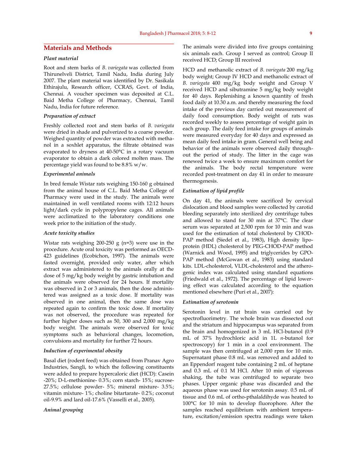# **Materials and Methods**

### *Plant material*

Root and stem barks of *B. variegata* was collected from Thirunelveli District, Tamil Nadu, India during July 2007. The plant material was identified by Dr. Sasikala Ethirajulu, Research officer, CCRAS, Govt. of India, Chennai. A voucher specimen was deposited at C.L. Baid Metha College of Pharmacy, Chennai, Tamil Nadu, India for future reference.

#### *Preparation of extract*

Freshly collected root and stem barks of *B. variegata*  were dried in shade and pulverized to a coarse powder. Weighed quantity of powder was extracted with methanol in a soxhlet apparatus, the filtrate obtained was evaporated to dryness at 40-50°C in a rotary vacuum evaporator to obtain a dark colored molten mass. The percentage yield was found to be 8.8% w/w.

#### *Experimental animals*

In bred female Wistar rats weighing 150-160 g obtained from the animal house of C.L. Baid Metha College of Pharmacy were used in the study. The animals were maintained in well ventilated rooms with 12:12 hours light/dark cycle in polypropylene cages. All animals were acclimatized to the laboratory conditions one week prior to the initiation of the study.

#### *Acute toxicity studies*

Wistar rats weighing  $200-250$  g (n=3) were use in the procedure. Acute oral toxicity was performed as OECD-423 guidelines (Ecobichon, 1997). The animals were fasted overnight, provided only water, after which extract was administered to the animals orally at the dose of 5 mg/kg body weight by gastric intubation and the animals were observed for 24 hours. If mortality was observed in 2 or 3 animals, then the dose administered was assigned as a toxic dose. If mortality was observed in one animal, then the same dose was repeated again to confirm the toxic dose. If mortality was not observed, the procedure was repeated for further higher doses such as 50, 300 and 2,000 mg/kg body weight. The animals were observed for toxic symptoms such as behavioral changes, locomotion, convulsions and mortality for further 72 hours.

#### *Induction of experimental obesity*

Basal diet (rodent feed) was obtained from Pranav Agro Industries, Sangli, to which the following constituents were added to prepare hypercaloric diet (HCD): Casein -20%; D-L-methionine- 0.3%; corn starch- 15%; sucrose-27.5%; cellulose powder- 5%; mineral mixture- 3.5%; vitamin mixture- 1%; choline bitartarate- 0.2%; coconut oil-9.9% and lard oil-17.6% (Vasselli et al., 2005).

#### *Animal grouping*

The animals were divided into five groups containing six animals each. Group I served as control; Group II received HCD; Group III received

HCD and methanolic extract of *B. variegata* 200 mg/kg body weight; Group IV HCD and methanolic extract of *B. variegata* 400 mg/kg body weight and Group V received HCD and sibutramine 5 mg/kg body weight for 40 days. Replenishing a known quantity of fresh food daily at 10.30 a.m. and thereby measuring the food intake of the previous day carried out measurement of daily food consumption. Body weight of rats was recorded weekly to assess percentage of weight gain in each group. The daily feed intake for groups of animals were measured everyday for 40 days and expressed as mean daily feed intake in gram. General well being and behavior of the animals were observed daily throughout the period of study. The litter in the cage was renewed twice a week to ensure maximum comfort for the animals. The body rectal temperature were recorded post-treatment on day 41 in order to measure thermogenesis.

#### *Estimation of lipid profile*

On day 41, the animals were sacrificed by cervical dislocation and blood samples were collected by carotid bleeding separately into sterilized dry centrifuge tubes and allowed to stand for 30 min at 37°C. The clear serum was separated at 2,500 rpm for 10 min and was used for the estimation of total cholesterol by CHOD-PAP method (Siedel et al., 1983), High density lipoprotein (HDL) cholesterol by PEG-CHOD-PAP method (Warnick and Wood, 1995) and triglycerides by GPO-PAP method (McGowan et al., 1983) using standard kits. LDL-cholesterol, VLDL-cholesterol and the atherogenic index was calculated using standard equations (Friedwald et al., 1972). The percentage of lipid lowering effect was calculated according to the equation mentioned elsewhere (Puri et al., 2007):

#### *Estimation of serotonin*

Serotonin level in rat brain was carried out by spectrofluorimetry. The whole brain was dissected out and the striatum and hippocampus was separated from the brain and homogenized in 3 mL HCl-butanol (0.9 mL of 37% hydrochloric acid in 1L *n*-butanol for spectroscopy) for 1 min in a cool environment. The sample was then centrifuged at 2,000 rpm for 10 min. Supernatant phase 0.8 mL was removed and added to an Eppendorf reagent tube containing 2 mL of heptane and 0.3 mL of 0.1 M HCl. After 10 min of vigorous shaking, the tube was centrifuged to separate two phases. Upper organic phase was discarded and the aqueous phase was used for serotonin assay. 0.5 mL of tissue and 0.6 mL of ortho-pthalaldihyde was heated to 100°C for 10 min to develop fluorophore. After the samples reached equilibrium with ambient temperature, excitation/emission spectra readings were taken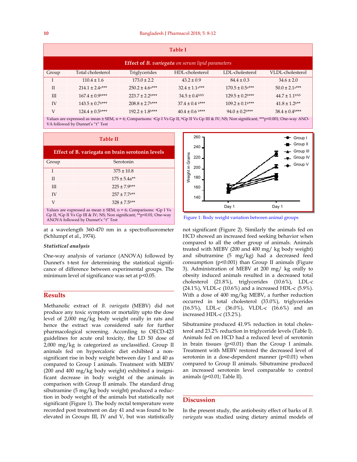| <b>Table I</b>                                          |                                 |                                 |                     |                                 |                                |  |  |
|---------------------------------------------------------|---------------------------------|---------------------------------|---------------------|---------------------------------|--------------------------------|--|--|
| <b>Effect of B. variegata</b> on serum lipid parameters |                                 |                                 |                     |                                 |                                |  |  |
| Group                                                   | Total cholesterol               | Triglycerides                   | HDL-cholesterol     | LDL-cholesterol                 | VLDL-cholesterol               |  |  |
|                                                         | $110.4 \pm 1.6$                 | $173.0 \pm 2.2$                 | $43.2 \pm 0.9$      | $84.4 \pm 0.3$                  | $34.6 \pm 2.0$                 |  |  |
| $\mathbf{I}$                                            | $214.1 \pm 2.4$ <sup>a***</sup> | $250.2 \pm 4.6$ <sup>***</sup>  | $32.4 \pm 1.1$ a*** | $170.5 \pm 0.5$ <sup>***</sup>  | $50.0 \pm 2.1$ a***            |  |  |
| III                                                     | $167.4 \pm 0.9$                 | $223.7 \pm 2.2$ <sup>b***</sup> | $34.5 \pm 0.4$ bNS  | $129.5 \pm 0.2$ <sup>b***</sup> | $44.7 \pm 1.1$ bNS             |  |  |
| IV                                                      | $143.5 \pm 0.7$ <sup>b***</sup> | $208.8 \pm 2.7$ <sup>b***</sup> | $37.4 \pm 0.4$ b*** | $109.2 \pm 0.1$ <sup>b***</sup> | $41.8 \pm 1.2$ <sup>**</sup>   |  |  |
| V                                                       | $124.4 \pm 0.5$ <sup>b***</sup> | $192.2 \pm 1.8$ <sup>b***</sup> | $40.4 \pm 0.6$ b*** | $94.0 \pm 0.2$ <sup>b***</sup>  | $38.4 \pm 0.4$ <sup>b***</sup> |  |  |

Values are expressed as mean ± SEM, n = 6; Comparisons: <sup>a</sup>Gp I Vs Gp II, <sup>b</sup>Gp II Vs Gp III & IV; NS; Non significant; \*\*\*p<0.001; One-way ANO-VA followed by Dunnet's "t" Test

| Effect of B. variegata on brain serotonin levels |                                                                                                                                                                                                             |  |  |  |
|--------------------------------------------------|-------------------------------------------------------------------------------------------------------------------------------------------------------------------------------------------------------------|--|--|--|
| Group                                            | Serotonin                                                                                                                                                                                                   |  |  |  |
| T                                                | $375 \pm 10.8$                                                                                                                                                                                              |  |  |  |
| $_{\rm II}$                                      | $175 \pm 5.4$ a**                                                                                                                                                                                           |  |  |  |
| Ш                                                | $225 \pm 7.9$ <sup>b**</sup>                                                                                                                                                                                |  |  |  |
| IV                                               | $257 \pm 7.7$ <sup>b**</sup>                                                                                                                                                                                |  |  |  |
| V                                                | $328 \pm 7.5$ <sup>b**</sup>                                                                                                                                                                                |  |  |  |
|                                                  | Values are expressed as mean $\pm$ SEM, n = 6; Comparisons: <sup>a</sup> Gp I Vs<br>Gp II, <sup>b</sup> Gp II Vs Gp III & IV; NS; Non significant; **p<0.01; One-way<br>ANOVA followed by Dunnet's "t" Test |  |  |  |

at a wavelength 360-470 nm in a spectrofluorometer (Schlumpf et al., 1974).

#### *Statistical analysis*

One-way analysis of variance (ANOVA) followed by Dunnet's t-test for determining the statistical significance of difference between experimental groups. The minimum level of significance was set at p<0.05.

# **Results**

Methanolic extract of *B. variegata* (MEBV) did not produce any toxic symptom or mortality upto the dose level of 2,000 mg/kg body weight orally in rats and hence the extract was considered safe for further pharmacological screening. According to OECD-423 guidelines for acute oral toxicity, the LD 50 dose of 2,000 mg/kg is categorized as unclassified. Group II animals fed on hypercaloric diet exhibited a nonsignificant rise in body weight between day 1 and 40 as compared to Group I animals. Treatment with MEBV (200 and 400 mg/kg body weight) exhibited a insignificant decrease in body weight of the animals in comparison with Group II animals. The standard drug sibutramine (5 mg/kg body weight) produced a reduction in body weight of the animals but statistically not significant (Figure 1). The body rectal temperature were recorded post treatment on day 41 and was found to be elevated in Groups III, IV and V, but was statistically



Figure 1: Body weight variation between animal groups

not significant (Figure 2). Similarly the animals fed on HCD showed an increased feed seeking behavior when compared to all the other group of animals. Animals treated with MEBV (200 and 400 mg/ kg body weight) and sibutramine (5 mg/kg) had a decreased feed consumption (p<0.001) than Group II animals (Figure 3). Administration of MEBV at 200 mg/ kg orally to obesity induced animals resulted in a decreased total cholesterol (21.8%), triglycerides (10.6%), LDL-c (24.1%), VLDL-c (10.6%) and a increased HDL-c (5.9%). With a dose of 400 mg/kg MEBV, a further reduction occurred in total cholesterol (33.0%), triglycerides (16.5%), LDL-c (36.0%), VLDL-c (16.6%) and an increased HDL-c (15.2%).

Sibutramine produced 41.9% reduction in total cholesterol and 23.2% reduction in triglyceride levels (Table I). Animals fed on HCD had a reduced level of serotonin in brain tissues  $(p<0.01)$  than the Group I animals. Treatment with MEBV restored the decreased level of serotonin in a dose-dependent manner  $(p<0.01)$  when compared to Group II animals. Sibutramine produced an increased serotonin level comparable to control animals (p<0.01; Table II).

## **Discussion**

In the present study, the antiobesity effect of barks of *B. variegata* was studied using dietary animal models of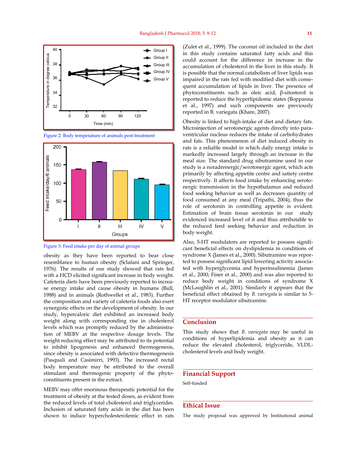





Figure 3: Feed intake per day of animal groups

obesity as they have been reported to bear close resemblance to human obesity (Sclafani and Springer, 1976). The results of our study showed that rats fed with a HCD elicited significant increase in body weight. Cafeteria diets have been previously reported to increase energy intake and cause obesity in humans (Bull, 1988) and in animals (Rothwellet et al., 1983). Further the composition and variety of cafeteria foods also exert synergistic effects on the development of obesity. In our study, hypercaloric diet exhibited an increased body weight along with corresponding rise in cholesterol levels which was promptly reduced by the administration of MEBV at the respective dosage levels. The weight reducing effect may be attributed to its potential to inhibit lipogenesis and enhanced thermogenesis, since obesity is associated with defective thermogenesis (Pasquali and Casimirri, 1993). The increased rectal body temperature may be attributed to the overall stimulant and thermogenic property of the phytoconstituents present in the extract.

MEBV may offer enormous therapeutic potential for the treatment of obesity at the tested doses, as evident from the reduced levels of total cholesterol and triglycerides. Inclusion of saturated fatty acids in the diet has been shown to induce hypercholesterolemic effect in rats (Zulet et al., 1999). The coconut oil included in the diet in this study contains saturated fatty acids and this could account for the difference in increase in the accumulation of cholesterol in the liver in this study. It is possible that the normal catabolism of liver lipids was impaired in the rats fed with modified diet with consequent accumulation of lipids in liver. The presence of phytoconstituents such as oleic acid, β-sitosterol is reported to reduce the hyperlipidemic states (Boppanna et al., 1997) and such components are previously reported in B. variegata (Khare, 2007).

Obesity is linked to high intake of diet and dietary fats. Microinjection of serotonergic agents directly into paraventricular nucleus reduces the intake of carbohydrates and fats. This phenomenon of diet induced obesity in rats is a reliable model in which daily energy intake is markedly increased largely through an increase in the meal size. The standard drug sibutramine used in our study is a noradrenergic/serotonergic agent, which acts primarily by affecting appetite centre and satiety centre respectively. It affects food intake by enhancing serotonergic transmission in the hypothalamus and reduced food seeking behavior as well as decreases quantity of food consumed at any meal (Tripathi, 2004), thus the role of serotonin in controlling appetite is evident. Estimation of brain tissue serotonin in our study evidenced increased level of it and thus attributable to the reduced feed seeking behavior and reduction in body weight.

Also, 5-HT modulators are reported to possess significant beneficial effects on dyslipidemia in conditions of syndrome X (James et al., 2000). Sibutramine was reported to possess significant lipid lowering activity associated with hyperglycemia and hyperinsulinemia (James et al., 2000; Finer et al., 2000) and was also reported to reduce body weight in conditions of syndrome X (McLaughlin et al., 2001). Similarly it appears that the beneficial effect obtained by *B. variegata* is similar to 5- HT receptor modulator sibutramine.

#### **Conclusion**

This study shows that *B. variegata* may be useful in conditions of hyperlipidemia and obesity as it can reduce the elevated cholesterol, triglyceride, VLDLcholesterol levels and body weight.

#### **Financial Support**

Self-funded

# **Ethical Issue**

The study proposal was approved by Institutional animal